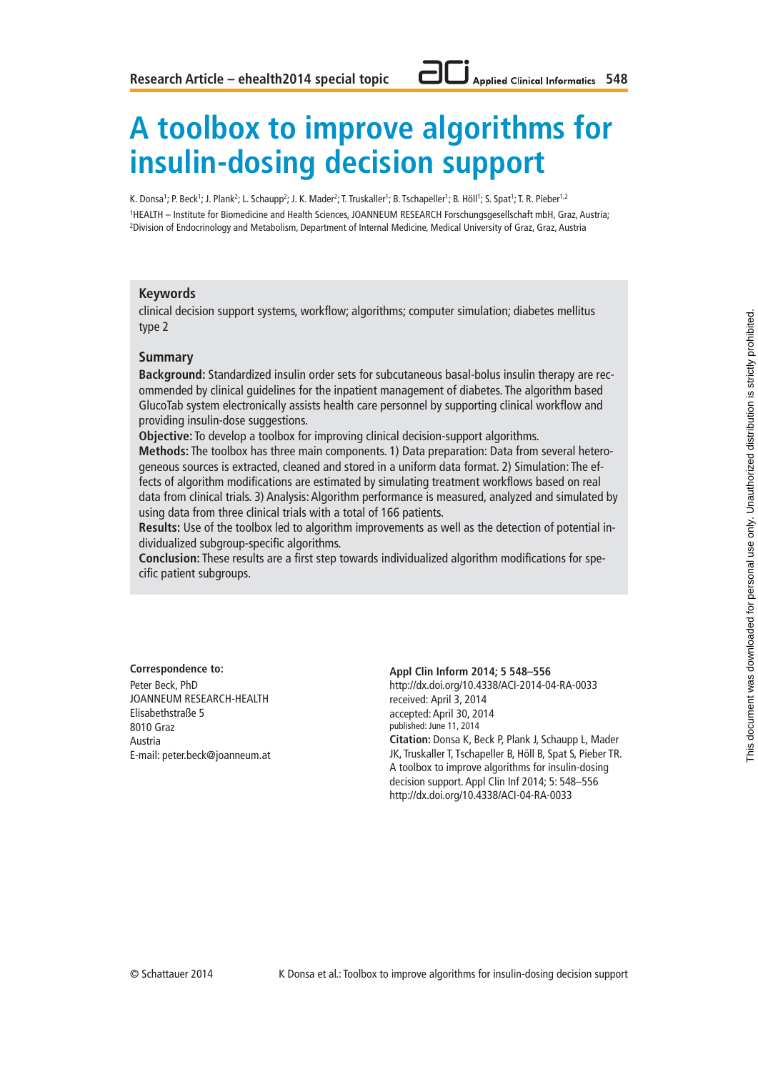# **A toolbox to improve algorithms for insulin-dosing decision support**

K. Donsa<sup>1</sup>; P. Beck<sup>1</sup>; J. Plank<sup>2</sup>; L. Schaupp<sup>2</sup>; J. K. Mader<sup>2</sup>; T. Truskaller<sup>1</sup>; B. Tschapeller<sup>1</sup>; B. Höll<sup>1</sup>; S. Spat<sup>1</sup>; T. R. Pieber<sup>1,2</sup> 1 HEALTH – Institute for Biomedicine and Health Sciences, JOANNEUM RESEARCH Forschungsgesellschaft mbH, Graz, Austria; 2 Division of Endocrinology and Metabolism, Department of Internal Medicine, Medical University of Graz, Graz, Austria

## **Keywords**

clinical decision support systems, workflow; algorithms; computer simulation; diabetes mellitus type 2

#### **Summary**

**Background:** Standardized insulin order sets for subcutaneous basal-bolus insulin therapy are recommended by clinical guidelines for the inpatient management of diabetes. The algorithm based GlucoTab system electronically assists health care personnel by supporting clinical workflow and providing insulin-dose suggestions.

**Objective:** To develop a toolbox for improving clinical decision-support algorithms.

**Methods:** The toolbox has three main components. 1) Data preparation: Data from several heterogeneous sources is extracted, cleaned and stored in a uniform data format. 2) Simulation: The effects of algorithm modifications are estimated by simulating treatment workflows based on real data from clinical trials. 3) Analysis: Algorithm performance is measured, analyzed and simulated by using data from three clinical trials with a total of 166 patients.

**Results:** Use of the toolbox led to algorithm improvements as well as the detection of potential individualized subgroup-specific algorithms.

**Conclusion:** These results are a first step towards individualized algorithm modifications for specific patient subgroups.

#### **Correspondence to:**

Peter Beck, PhD JOANNEUM RESEARCH-HEALTH Elisabethstraße 5 8010 Graz Austria E-mail: peter.beck@joanneum.at

#### **Appl Clin Inform 2014; 5 548–556**

http://dx.doi.org/10.4338/ACI-2014-04-RA-0033 received: April 3, 2014 accepted: April 30, 2014 published: June 11, 2014 **Citation:** Donsa K, Beck P, Plank J, Schaupp L, Mader JK, Truskaller T, Tschapeller B, Höll B, Spat S, Pieber TR. A toolbox to improve algorithms for insulin-dosing decision support. Appl Clin Inf 2014; 5: 548–556

http://dx.doi.org/10.4338/ACI-04-RA-0033

**Applied Clinical Informatics 548**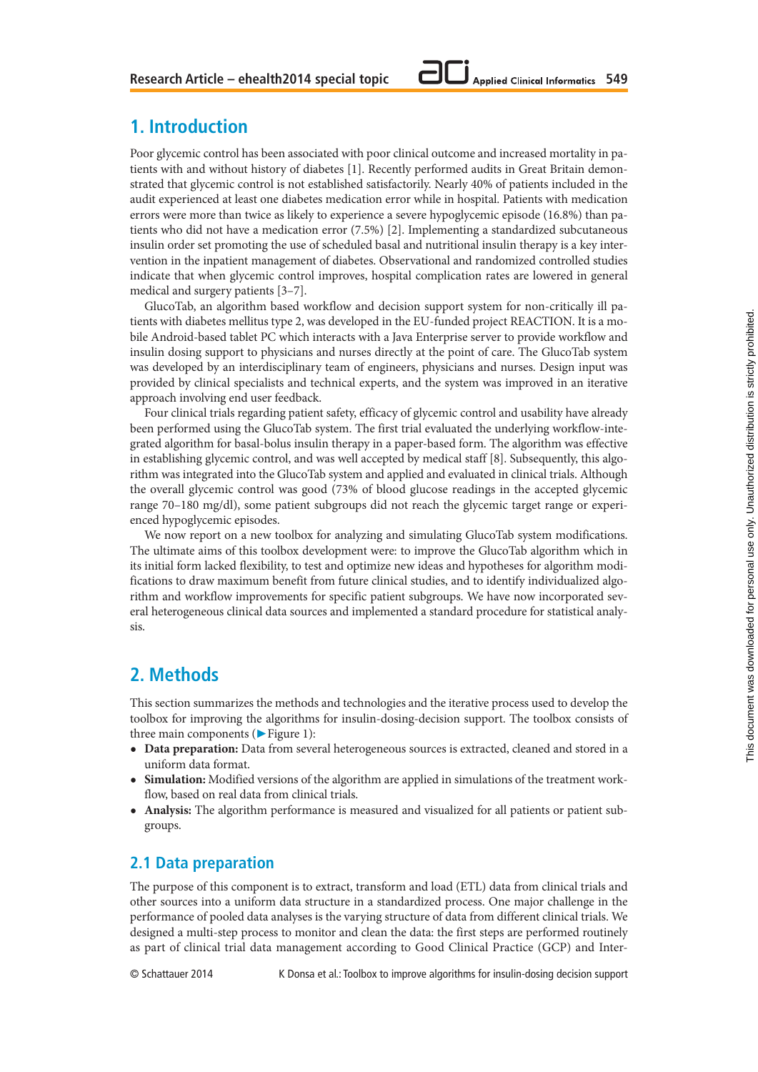#### **Applied Clinical Informatics 549**

# **1. Introduction**

Poor glycemic control has been associated with poor clinical outcome and increased mortality in patients with and without history of diabetes [1]. Recently performed audits in Great Britain demonstrated that glycemic control is not established satisfactorily. Nearly 40% of patients included in the audit experienced at least one diabetes medication error while in hospital. Patients with medication errors were more than twice as likely to experience a severe hypoglycemic episode (16.8%) than patients who did not have a medication error (7.5%) [2]. Implementing a standardized subcutaneous insulin order set promoting the use of scheduled basal and nutritional insulin therapy is a key intervention in the inpatient management of diabetes. Observational and randomized controlled studies indicate that when glycemic control improves, hospital complication rates are lowered in general medical and surgery patients [3–7].

GlucoTab, an algorithm based workflow and decision support system for non-critically ill patients with diabetes mellitus type 2, was developed in the EU-funded project REACTION. It is a mobile Android-based tablet PC which interacts with a Java Enterprise server to provide workflow and insulin dosing support to physicians and nurses directly at the point of care. The GlucoTab system was developed by an interdisciplinary team of engineers, physicians and nurses. Design input was provided by clinical specialists and technical experts, and the system was improved in an iterative approach involving end user feedback.

Four clinical trials regarding patient safety, efficacy of glycemic control and usability have already been performed using the GlucoTab system. The first trial evaluated the underlying workflow-integrated algorithm for basal-bolus insulin therapy in a paper-based form. The algorithm was effective in establishing glycemic control, and was well accepted by medical staff [8]. Subsequently, this algorithm was integrated into the GlucoTab system and applied and evaluated in clinical trials. Although the overall glycemic control was good (73% of blood glucose readings in the accepted glycemic range 70–180 mg/dl), some patient subgroups did not reach the glycemic target range or experienced hypoglycemic episodes.

We now report on a new toolbox for analyzing and simulating GlucoTab system modifications. The ultimate aims of this toolbox development were: to improve the GlucoTab algorithm which in its initial form lacked flexibility, to test and optimize new ideas and hypotheses for algorithm modifications to draw maximum benefit from future clinical studies, and to identify individualized algorithm and workflow improvements for specific patient subgroups. We have now incorporated several heterogeneous clinical data sources and implemented a standard procedure for statistical analysis.

# **2. Methods**

This section summarizes the methods and technologies and the iterative process used to develop the toolbox for improving the algorithms for insulin-dosing-decision support. The toolbox consists of three main components (▶ Figure 1):

- Data preparation: Data from several heterogeneous sources is extracted, cleaned and stored in a uniform data format.
- **• Simulation:** Modified versions of the algorithm are applied in simulations of the treatment workflow, based on real data from clinical trials.
- **Analysis:** The algorithm performance is measured and visualized for all patients or patient subgroups.

## **2.1 Data preparation**

The purpose of this component is to extract, transform and load (ETL) data from clinical trials and other sources into a uniform data structure in a standardized process. One major challenge in the performance of pooled data analyses is the varying structure of data from different clinical trials. We designed a multi-step process to monitor and clean the data: the first steps are performed routinely as part of clinical trial data management according to Good Clinical Practice (GCP) and Inter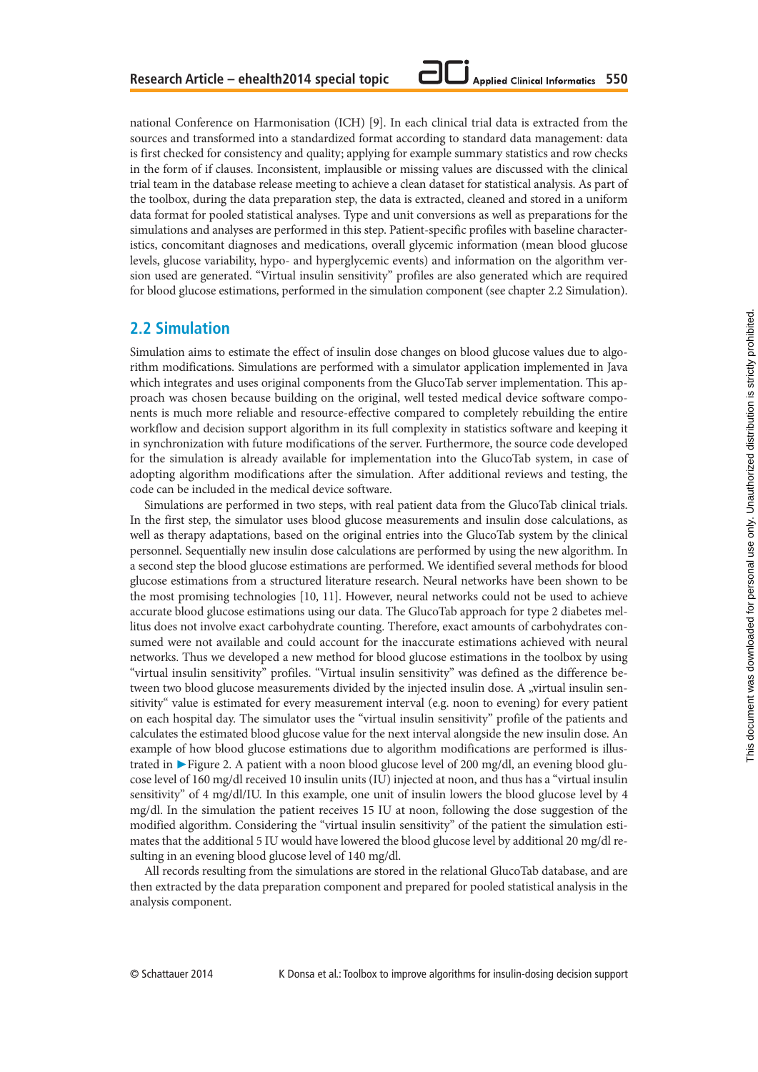national Conference on Harmonisation (ICH) [9]. In each clinical trial data is extracted from the sources and transformed into a standardized format according to standard data management: data is first checked for consistency and quality; applying for example summary statistics and row checks in the form of if clauses. Inconsistent, implausible or missing values are discussed with the clinical trial team in the database release meeting to achieve a clean dataset for statistical analysis. As part of the toolbox, during the data preparation step, the data is extracted, cleaned and stored in a uniform data format for pooled statistical analyses. Type and unit conversions as well as preparations for the simulations and analyses are performed in this step. Patient-specific profiles with baseline characteristics, concomitant diagnoses and medications, overall glycemic information (mean blood glucose levels, glucose variability, hypo- and hyperglycemic events) and information on the algorithm version used are generated. "Virtual insulin sensitivity" profiles are also generated which are required for blood glucose estimations, performed in the simulation component (see chapter 2.2 Simulation).

# **2.2 Simulation**

Simulation aims to estimate the effect of insulin dose changes on blood glucose values due to algorithm modifications. Simulations are performed with a simulator application implemented in Java which integrates and uses original components from the GlucoTab server implementation. This approach was chosen because building on the original, well tested medical device software components is much more reliable and resource-effective compared to completely rebuilding the entire workflow and decision support algorithm in its full complexity in statistics software and keeping it in synchronization with future modifications of the server. Furthermore, the source code developed for the simulation is already available for implementation into the GlucoTab system, in case of adopting algorithm modifications after the simulation. After additional reviews and testing, the code can be included in the medical device software.

Simulations are performed in two steps, with real patient data from the GlucoTab clinical trials. In the first step, the simulator uses blood glucose measurements and insulin dose calculations, as well as therapy adaptations, based on the original entries into the GlucoTab system by the clinical personnel. Sequentially new insulin dose calculations are performed by using the new algorithm. In a second step the blood glucose estimations are performed. We identified several methods for blood glucose estimations from a structured literature research. Neural networks have been shown to be the most promising technologies [10, 11]. However, neural networks could not be used to achieve accurate blood glucose estimations using our data. The GlucoTab approach for type 2 diabetes mellitus does not involve exact carbohydrate counting. Therefore, exact amounts of carbohydrates consumed were not available and could account for the inaccurate estimations achieved with neural networks. Thus we developed a new method for blood glucose estimations in the toolbox by using "virtual insulin sensitivity" profiles. "Virtual insulin sensitivity" was defined as the difference between two blood glucose measurements divided by the injected insulin dose. A "virtual insulin sensitivity" value is estimated for every measurement interval (e.g. noon to evening) for every patient on each hospital day. The simulator uses the "virtual insulin sensitivity" profile of the patients and calculates the estimated blood glucose value for the next interval alongside the new insulin dose. An example of how blood glucose estimations due to algorithm modifications are performed is illustrated in ▶ Figure 2. A patient with a noon blood glucose level of 200 mg/dl, an evening blood glucose level of 160 mg/dl received 10 insulin units (IU) injected at noon, and thus has a "virtual insulin sensitivity" of 4 mg/dl/IU. In this example, one unit of insulin lowers the blood glucose level by 4 mg/dl. In the simulation the patient receives 15 IU at noon, following the dose suggestion of the modified algorithm. Considering the "virtual insulin sensitivity" of the patient the simulation estimates that the additional 5 IU would have lowered the blood glucose level by additional 20 mg/dl resulting in an evening blood glucose level of 140 mg/dl.

All records resulting from the simulations are stored in the relational GlucoTab database, and are then extracted by the data preparation component and prepared for pooled statistical analysis in the analysis component.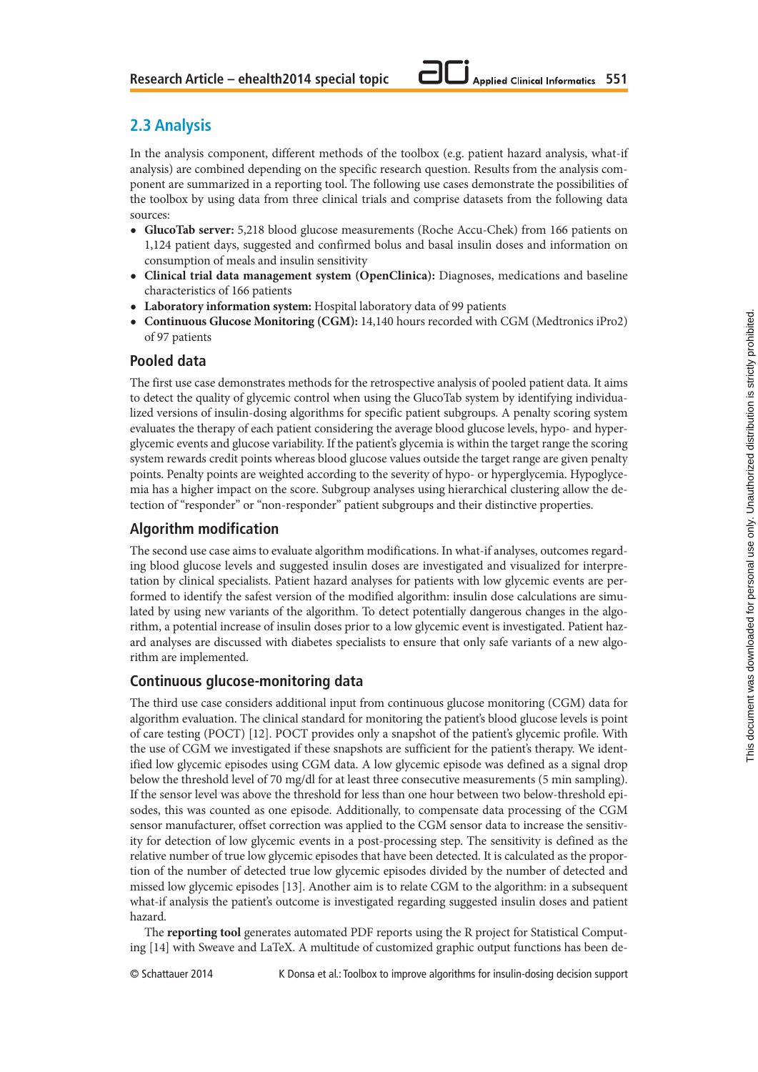# **2.3 Analysis**

In the analysis component, different methods of the toolbox (e.g. patient hazard analysis, what-if analysis) are combined depending on the specific research question. Results from the analysis component are summarized in a reporting tool. The following use cases demonstrate the possibilities of the toolbox by using data from three clinical trials and comprise datasets from the following data sources:

- **• GlucoTab server:** 5,218 blood glucose measurements (Roche Accu-Chek) from 166 patients on 1,124 patient days, suggested and confirmed bolus and basal insulin doses and information on consumption of meals and insulin sensitivity
- **• Clinical trial data management system (OpenClinica):** Diagnoses, medications and baseline characteristics of 166 patients
- **• Laboratory information system:** Hospital laboratory data of 99 patients
- **• Continuous Glucose Monitoring (CGM):** 14,140 hours recorded with CGM (Medtronics iPro2) of 97 patients

## **Pooled data**

The first use case demonstrates methods for the retrospective analysis of pooled patient data. It aims to detect the quality of glycemic control when using the GlucoTab system by identifying individualized versions of insulin-dosing algorithms for specific patient subgroups. A penalty scoring system evaluates the therapy of each patient considering the average blood glucose levels, hypo- and hyperglycemic events and glucose variability. If the patient's glycemia is within the target range the scoring system rewards credit points whereas blood glucose values outside the target range are given penalty points. Penalty points are weighted according to the severity of hypo- or hyperglycemia. Hypoglycemia has a higher impact on the score. Subgroup analyses using hierarchical clustering allow the detection of "responder" or "non-responder" patient subgroups and their distinctive properties.

## **Algorithm modification**

The second use case aims to evaluate algorithm modifications. In what-if analyses, outcomes regarding blood glucose levels and suggested insulin doses are investigated and visualized for interpretation by clinical specialists. Patient hazard analyses for patients with low glycemic events are performed to identify the safest version of the modified algorithm: insulin dose calculations are simulated by using new variants of the algorithm. To detect potentially dangerous changes in the algorithm, a potential increase of insulin doses prior to a low glycemic event is investigated. Patient hazard analyses are discussed with diabetes specialists to ensure that only safe variants of a new algorithm are implemented.

#### **Continuous glucose-monitoring data**

The third use case considers additional input from continuous glucose monitoring (CGM) data for algorithm evaluation. The clinical standard for monitoring the patient's blood glucose levels is point of care testing (POCT) [12]. POCT provides only a snapshot of the patient's glycemic profile. With the use of CGM we investigated if these snapshots are sufficient for the patient's therapy. We identified low glycemic episodes using CGM data. A low glycemic episode was defined as a signal drop below the threshold level of 70 mg/dl for at least three consecutive measurements (5 min sampling). If the sensor level was above the threshold for less than one hour between two below-threshold episodes, this was counted as one episode. Additionally, to compensate data processing of the CGM sensor manufacturer, offset correction was applied to the CGM sensor data to increase the sensitivity for detection of low glycemic events in a post-processing step. The sensitivity is defined as the relative number of true low glycemic episodes that have been detected. It is calculated as the proportion of the number of detected true low glycemic episodes divided by the number of detected and missed low glycemic episodes [13]. Another aim is to relate CGM to the algorithm: in a subsequent what-if analysis the patient's outcome is investigated regarding suggested insulin doses and patient hazard.

The **reporting tool** generates automated PDF reports using the R project for Statistical Computing [14] with Sweave and LaTeX. A multitude of customized graphic output functions has been de-

K Donsa et al.: Toolbox to improve algorithms for insulin-dosing decision support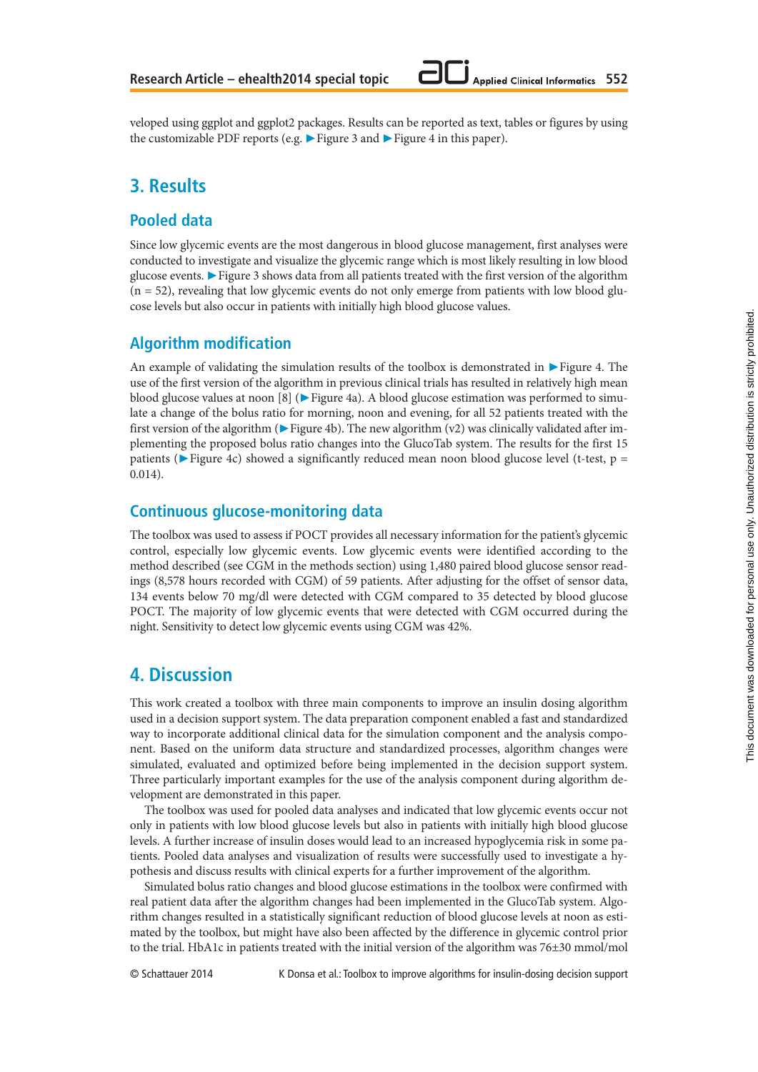veloped using ggplot and ggplot2 packages. Results can be reported as text, tables or figures by using the customizable PDF reports (e.g.  $\blacktriangleright$  Figure 3 and  $\blacktriangleright$  Figure 4 in this paper).

# **3. Results**

## **Pooled data**

Since low glycemic events are the most dangerous in blood glucose management, first analyses were conducted to investigate and visualize the glycemic range which is most likely resulting in low blood glucose events. ▶ Figure 3 shows data from all patients treated with the first version of the algorithm  $(n = 52)$ , revealing that low glycemic events do not only emerge from patients with low blood glucose levels but also occur in patients with initially high blood glucose values.

# **Algorithm modification**

An example of validating the simulation results of the toolbox is demonstrated in  $\blacktriangleright$  Figure 4. The use of the first version of the algorithm in previous clinical trials has resulted in relatively high mean blood glucose values at noon [8] (▶ Figure 4a). A blood glucose estimation was performed to simulate a change of the bolus ratio for morning, noon and evening, for all 52 patients treated with the first version of the algorithm ( $\blacktriangleright$  Figure 4b). The new algorithm (v2) was clinically validated after implementing the proposed bolus ratio changes into the GlucoTab system. The results for the first 15 patients ( $\blacktriangleright$  Figure 4c) showed a significantly reduced mean noon blood glucose level (t-test, p = 0.014).

# **Continuous glucose-monitoring data**

The toolbox was used to assess if POCT provides all necessary information for the patient's glycemic control, especially low glycemic events. Low glycemic events were identified according to the method described (see CGM in the methods section) using 1,480 paired blood glucose sensor readings (8,578 hours recorded with CGM) of 59 patients. After adjusting for the offset of sensor data, 134 events below 70 mg/dl were detected with CGM compared to 35 detected by blood glucose POCT. The majority of low glycemic events that were detected with CGM occurred during the night. Sensitivity to detect low glycemic events using CGM was 42%.

# **4. Discussion**

This work created a toolbox with three main components to improve an insulin dosing algorithm used in a decision support system. The data preparation component enabled a fast and standardized way to incorporate additional clinical data for the simulation component and the analysis component. Based on the uniform data structure and standardized processes, algorithm changes were simulated, evaluated and optimized before being implemented in the decision support system. Three particularly important examples for the use of the analysis component during algorithm development are demonstrated in this paper.

The toolbox was used for pooled data analyses and indicated that low glycemic events occur not only in patients with low blood glucose levels but also in patients with initially high blood glucose levels. A further increase of insulin doses would lead to an increased hypoglycemia risk in some patients. Pooled data analyses and visualization of results were successfully used to investigate a hypothesis and discuss results with clinical experts for a further improvement of the algorithm.

Simulated bolus ratio changes and blood glucose estimations in the toolbox were confirmed with real patient data after the algorithm changes had been implemented in the GlucoTab system. Algorithm changes resulted in a statistically significant reduction of blood glucose levels at noon as estimated by the toolbox, but might have also been affected by the difference in glycemic control prior to the trial. HbA1c in patients treated with the initial version of the algorithm was 76±30 mmol/mol

K Donsa et al.: Toolbox to improve algorithms for insulin-dosing decision support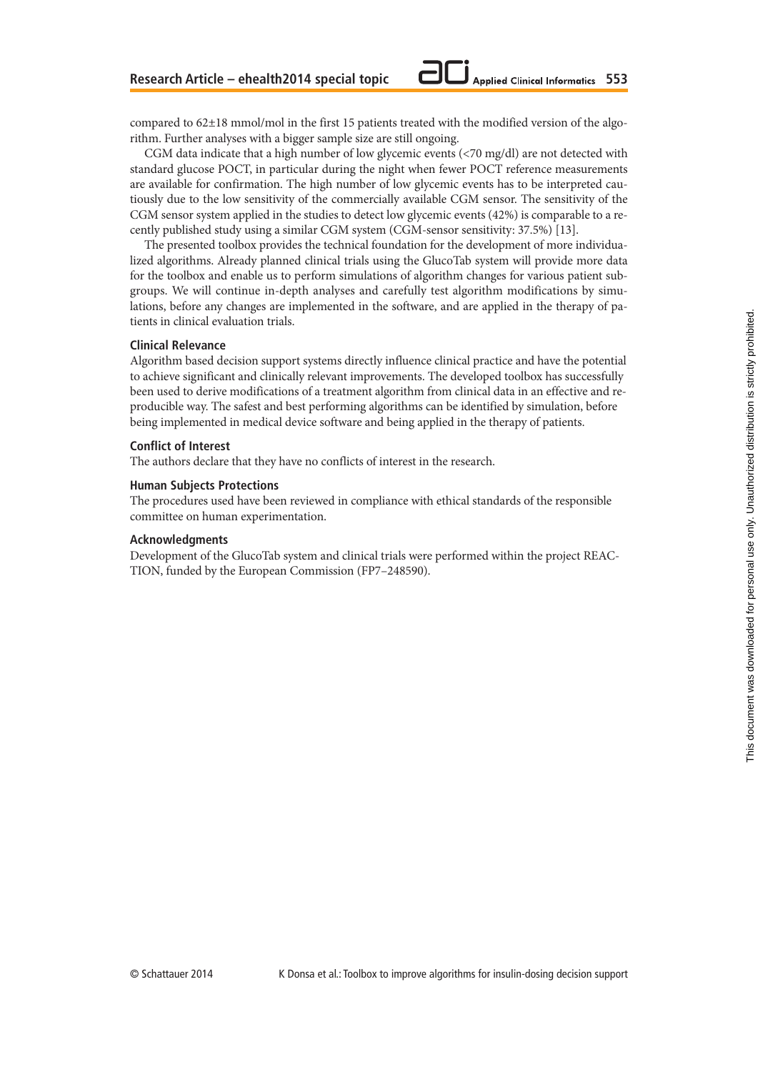**Applied Clinical Informatics 553** 

compared to 62±18 mmol/mol in the first 15 patients treated with the modified version of the algorithm. Further analyses with a bigger sample size are still ongoing.

CGM data indicate that a high number of low glycemic events (<70 mg/dl) are not detected with standard glucose POCT, in particular during the night when fewer POCT reference measurements are available for confirmation. The high number of low glycemic events has to be interpreted cautiously due to the low sensitivity of the commercially available CGM sensor. The sensitivity of the CGM sensor system applied in the studies to detect low glycemic events (42%) is comparable to a recently published study using a similar CGM system (CGM-sensor sensitivity: 37.5%) [13].

The presented toolbox provides the technical foundation for the development of more individualized algorithms. Already planned clinical trials using the GlucoTab system will provide more data for the toolbox and enable us to perform simulations of algorithm changes for various patient subgroups. We will continue in-depth analyses and carefully test algorithm modifications by simulations, before any changes are implemented in the software, and are applied in the therapy of patients in clinical evaluation trials.

#### **Clinical Relevance**

Algorithm based decision support systems directly influence clinical practice and have the potential to achieve significant and clinically relevant improvements. The developed toolbox has successfully been used to derive modifications of a treatment algorithm from clinical data in an effective and reproducible way. The safest and best performing algorithms can be identified by simulation, before being implemented in medical device software and being applied in the therapy of patients.

#### **Conflict of Interest**

The authors declare that they have no conflicts of interest in the research.

#### **Human Subjects Protections**

The procedures used have been reviewed in compliance with ethical standards of the responsible committee on human experimentation.

#### **Acknowledgments**

Development of the GlucoTab system and clinical trials were performed within the project REAC-TION, funded by the European Commission (FP7–248590).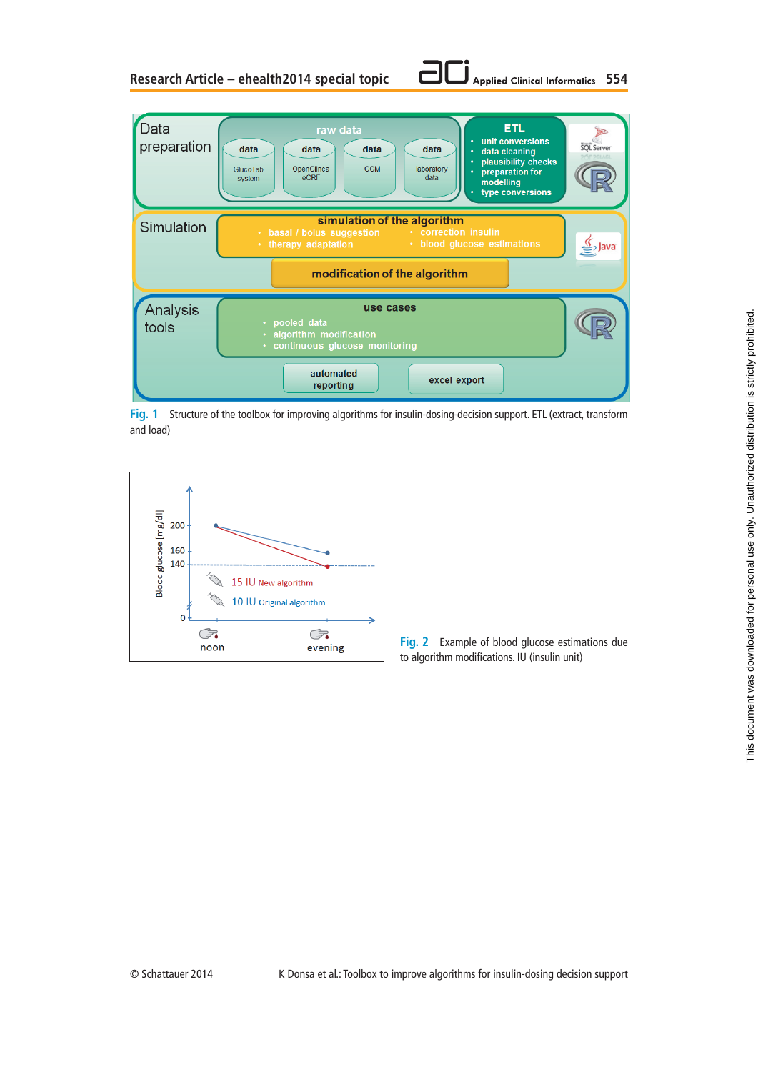

**Fig. 1** Structure of the toolbox for improving algorithms for insulin-dosing-decision support. ETL (extract, transform and load)



**Fig. 2** Example of blood glucose estimations due to algorithm modifications. IU (insulin unit)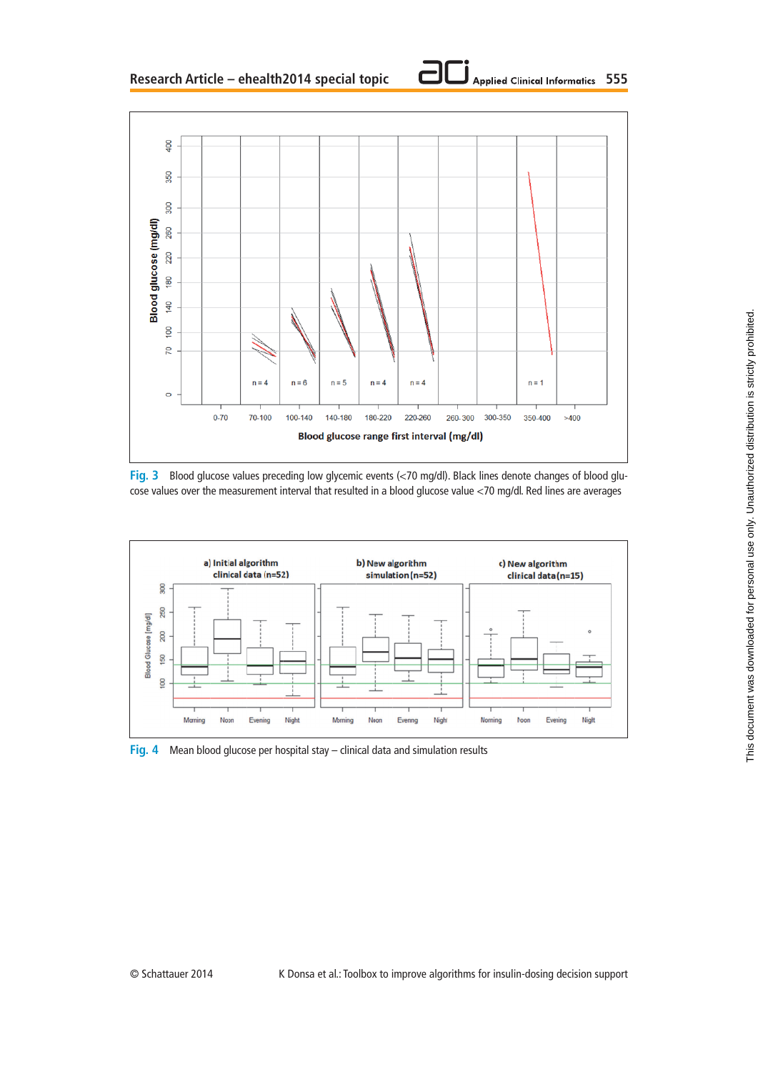





**Fig. 3** Blood glucose values preceding low glycemic events (<70 mg/dl). Black lines denote changes of blood glucose values over the measurement interval that resulted in a blood glucose value <70 mg/dl. Red lines are averages



**Fig. 4** Mean blood glucose per hospital stay – clinical data and simulation results